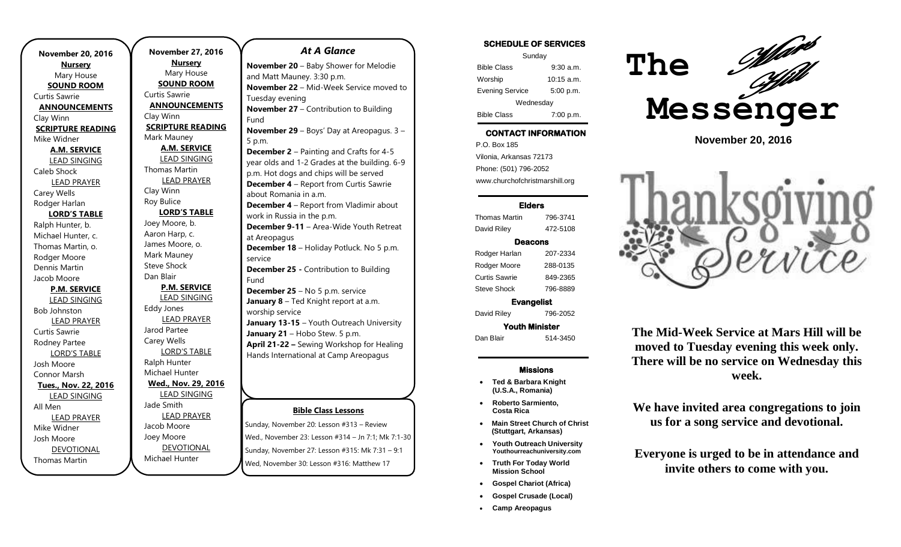**November 20, 2016 Nursery** Mary House **SOUND ROOM** Curtis Sawrie **ANNOUNCEMENTS** Clay Winn **SCRIPTURE READING** Mike Widner **A.M. SERVICE** LEAD SINGING Caleb Shock LEAD PRAYER Carey Wells Rodger Harlan **LORD'S TABLE** Ralph Hunter, b. Michael Hunter, c. Thomas Martin, o. Rodger Moore Dennis Martin Jacob Moore **P.M. SERVICE** LEAD SINGING Bob Johnston LEAD PRAYER Curtis Sawrie Rodney Partee LORD'S TABLE Josh Moore Connor Marsh **Tues., Nov. 22, 2016** LEAD SINGING All Men LEAD PRAYER Mike Widner Josh Moore DEVOTIONAL

Thomas Martin

**November 27, 2016 Nursery** Mary House **SOUND ROOM** Curtis Sawrie **ANNOUNCEMENTS** Clay Winn **SCRIPTURE READING** Mark Mauney **A.M. SERVICE** LEAD SINGING Thomas Martin LEAD PRAYER Clay Winn Roy Bulice **LORD'S TABLE** Joey Moore, b. Aaron Harp, c. James Moore, o. Mark Mauney Steve Shock Dan Blair **P.M. SERVICE** LEAD SINGING Eddy Jones LEAD PRAYER Jarod Partee Carey Wells LORD'S TABLE Ralph Hunter Michael Hunter **Wed., Nov. 29, 2016** LEAD SINGING Jade Smith LEAD PRAYER Jacob Moore Joey Moore

DEVOTIONAL

Michael Hunter

#### *At A Glance*

**November 20** – Baby Shower for Melodie and Matt Mauney. 3:30 p.m. **November 22** – Mid-Week Service moved to Tuesday evening **November 27** – Contribution to Building Fund **November 29** – Boys' Day at Areopagus. 3 – 5 p.m. **December 2** – Painting and Crafts for 4-5 year olds and 1-2 Grades at the building. 6-9 p.m. Hot dogs and chips will be served **December 4** – Report from Curtis Sawrie about Romania in a.m. **December 4** – Report from Vladimir about work in Russia in the p.m. **December 9-11** – Area-Wide Youth Retreat at Areopagus **December 18** – Holiday Potluck. No 5 p.m. service **December 25 -** Contribution to Building Fund **December 25** – No 5 p.m. service **January 8** – Ted Knight report at a.m. worship service **January 13-15** – Youth Outreach University January 21 - Hobo Stew. 5 p.m. **April 21-22 –** Sewing Workshop for Healing Hands International at Camp Areopagus

### **Bible Class Lessons**

Sunday, November 20: Lesson #313 – Review Wed., November 23: Lesson #314 – Jn 7:1; Mk 7:1-30 Sunday, November 27: Lesson #315: Mk 7:31 – 9:1 Wed, November 30: Lesson #316: Matthew 17

### **SCHEDULE OF SERVICES**

| Sunday                 |              |
|------------------------|--------------|
| <b>Bible Class</b>     | 9:30a.m.     |
| Worship                | $10:15$ a.m. |
| <b>Evening Service</b> | 5:00 p.m.    |
| Wednesday              |              |
| <b>Bible Class</b>     | 7:00 p.m.    |

# **CONTACT INFORMATION**

. .o. Bex Tee<br>Vilonia, Arkansas 72173 P.O. Box 185 Phone: (501) 796-2052 www.churchofchristmarshill.org

#### **Elders**

#### Thomas Martin 796-3741 David Riley 472-5108

#### **Deacons**

Rodger Harlan 207-2334 Rodger Moore 288-0135 Curtis Sawrie 849-2365 Steve Shock 796-8889

**Evangelist**  David Riley 796-2052 **Youth Minister** 

Dan Blair 514-3450

#### **Missions**

- **Ted & Barbara Knight (U.S.A., Romania)**
- **Roberto Sarmiento, Costa Rica**
- **Main Street Church of Christ (Stuttgart, Arkansas)**
- **Youth Outreach University Youthourreachuniversity.com**
- **Truth For Today World Mission School**
- **Gospel Chariot (Africa)**
- **Gospel Crusade (Local)**
- **Camp Areopagus**



**November 20, 2016**



**The Mid-Week Service at Mars Hill will be moved to Tuesday evening this week only. There will be no service on Wednesday this week.**

**We have invited area congregations to join us for a song service and devotional.**

**Everyone is urged to be in attendance and invite others to come with you.**